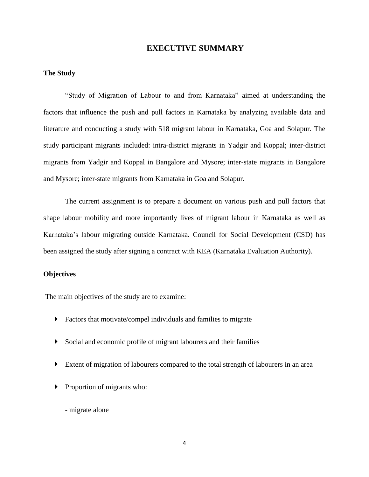# **EXECUTIVE SUMMARY**

#### **The Study**

"Study of Migration of Labour to and from Karnataka" aimed at understanding the factors that influence the push and pull factors in Karnataka by analyzing available data and literature and conducting a study with 518 migrant labour in Karnataka, Goa and Solapur. The study participant migrants included: intra-district migrants in Yadgir and Koppal; inter-district migrants from Yadgir and Koppal in Bangalore and Mysore; inter-state migrants in Bangalore and Mysore; inter-state migrants from Karnataka in Goa and Solapur.

The current assignment is to prepare a document on various push and pull factors that shape labour mobility and more importantly lives of migrant labour in Karnataka as well as Karnataka's labour migrating outside Karnataka. Council for Social Development (CSD) has been assigned the study after signing a contract with KEA (Karnataka Evaluation Authority).

#### **Objectives**

The main objectives of the study are to examine:

- Factors that motivate/compel individuals and families to migrate
- Social and economic profile of migrant labourers and their families
- Extent of migration of labourers compared to the total strength of labourers in an area
- **Proportion of migrants who:** 
	- migrate alone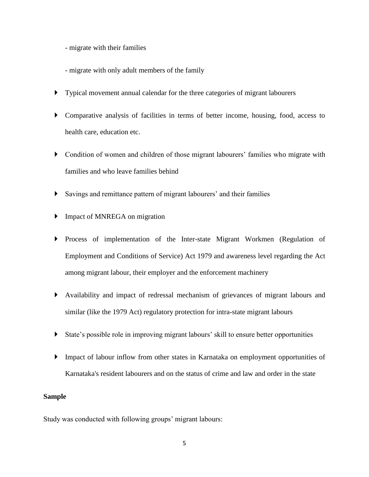- migrate with their families

- migrate with only adult members of the family
- Typical movement annual calendar for the three categories of migrant labourers
- Comparative analysis of facilities in terms of better income, housing, food, access to health care, education etc.
- Condition of women and children of those migrant labourers' families who migrate with families and who leave families behind
- Savings and remittance pattern of migrant labourers' and their families
- Impact of MNREGA on migration
- Process of implementation of the Inter-state Migrant Workmen (Regulation of Employment and Conditions of Service) Act 1979 and awareness level regarding the Act among migrant labour, their employer and the enforcement machinery
- Availability and impact of redressal mechanism of grievances of migrant labours and similar (like the 1979 Act) regulatory protection for intra-state migrant labours
- State's possible role in improving migrant labours' skill to ensure better opportunities
- Impact of labour inflow from other states in Karnataka on employment opportunities of Karnataka's resident labourers and on the status of crime and law and order in the state

#### **Sample**

Study was conducted with following groups' migrant labours: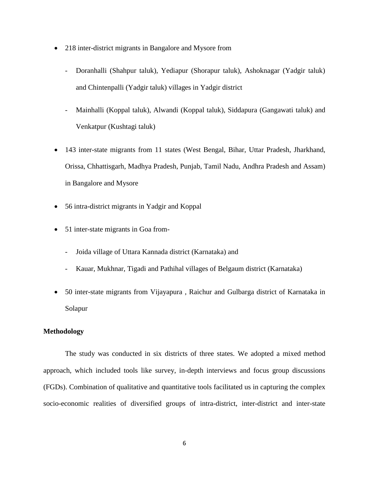- 218 inter-district migrants in Bangalore and Mysore from
	- Doranhalli (Shahpur taluk), Yediapur (Shorapur taluk), Ashoknagar (Yadgir taluk) and Chintenpalli (Yadgir taluk) villages in Yadgir district
	- Mainhalli (Koppal taluk), Alwandi (Koppal taluk), Siddapura (Gangawati taluk) and Venkatpur (Kushtagi taluk)
- 143 inter-state migrants from 11 states (West Bengal, Bihar, Uttar Pradesh, Jharkhand, Orissa, Chhattisgarh, Madhya Pradesh, Punjab, Tamil Nadu, Andhra Pradesh and Assam) in Bangalore and Mysore
- 56 intra-district migrants in Yadgir and Koppal
- 51 inter-state migrants in Goa from-
	- Joida village of Uttara Kannada district (Karnataka) and
	- Kauar, Mukhnar, Tigadi and Pathihal villages of Belgaum district (Karnataka)
- 50 inter-state migrants from Vijayapura , Raichur and Gulbarga district of Karnataka in Solapur

## **Methodology**

The study was conducted in six districts of three states. We adopted a mixed method approach, which included tools like survey, in-depth interviews and focus group discussions (FGDs). Combination of qualitative and quantitative tools facilitated us in capturing the complex socio-economic realities of diversified groups of intra-district, inter-district and inter-state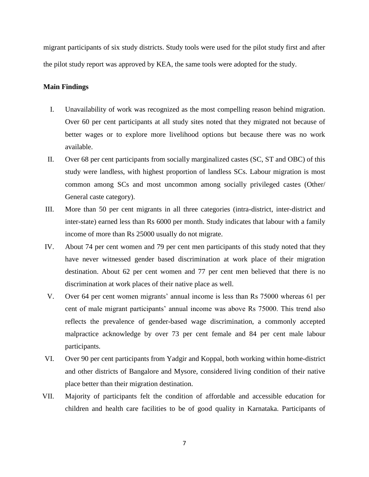migrant participants of six study districts. Study tools were used for the pilot study first and after the pilot study report was approved by KEA, the same tools were adopted for the study.

#### **Main Findings**

- I. Unavailability of work was recognized as the most compelling reason behind migration. Over 60 per cent participants at all study sites noted that they migrated not because of better wages or to explore more livelihood options but because there was no work available.
- II. Over 68 per cent participants from socially marginalized castes (SC, ST and OBC) of this study were landless, with highest proportion of landless SCs. Labour migration is most common among SCs and most uncommon among socially privileged castes (Other/ General caste category).
- III. More than 50 per cent migrants in all three categories (intra-district, inter-district and inter-state) earned less than Rs 6000 per month. Study indicates that labour with a family income of more than Rs 25000 usually do not migrate.
- IV. About 74 per cent women and 79 per cent men participants of this study noted that they have never witnessed gender based discrimination at work place of their migration destination. About 62 per cent women and 77 per cent men believed that there is no discrimination at work places of their native place as well.
- V. Over 64 per cent women migrants' annual income is less than Rs 75000 whereas 61 per cent of male migrant participants' annual income was above Rs 75000. This trend also reflects the prevalence of gender-based wage discrimination, a commonly accepted malpractice acknowledge by over 73 per cent female and 84 per cent male labour participants.
- VI. Over 90 per cent participants from Yadgir and Koppal, both working within home-district and other districts of Bangalore and Mysore, considered living condition of their native place better than their migration destination.
- VII. Majority of participants felt the condition of affordable and accessible education for children and health care facilities to be of good quality in Karnataka. Participants of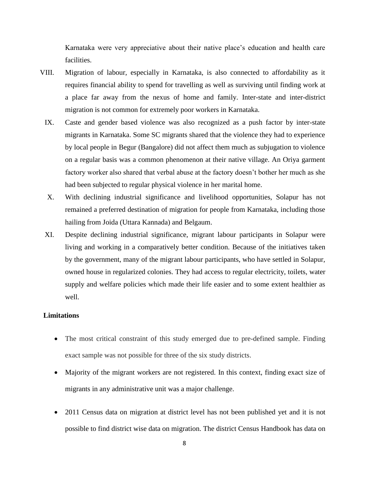Karnataka were very appreciative about their native place's education and health care facilities.

- VIII. Migration of labour, especially in Karnataka, is also connected to affordability as it requires financial ability to spend for travelling as well as surviving until finding work at a place far away from the nexus of home and family. Inter-state and inter-district migration is not common for extremely poor workers in Karnataka.
	- IX. Caste and gender based violence was also recognized as a push factor by inter-state migrants in Karnataka. Some SC migrants shared that the violence they had to experience by local people in Begur (Bangalore) did not affect them much as subjugation to violence on a regular basis was a common phenomenon at their native village. An Oriya garment factory worker also shared that verbal abuse at the factory doesn't bother her much as she had been subjected to regular physical violence in her marital home.
	- X. With declining industrial significance and livelihood opportunities, Solapur has not remained a preferred destination of migration for people from Karnataka, including those hailing from Joida (Uttara Kannada) and Belgaum.
	- XI. Despite declining industrial significance, migrant labour participants in Solapur were living and working in a comparatively better condition. Because of the initiatives taken by the government, many of the migrant labour participants, who have settled in Solapur, owned house in regularized colonies. They had access to regular electricity, toilets, water supply and welfare policies which made their life easier and to some extent healthier as well.

#### **Limitations**

- The most critical constraint of this study emerged due to pre-defined sample. Finding exact sample was not possible for three of the six study districts.
- Majority of the migrant workers are not registered. In this context, finding exact size of migrants in any administrative unit was a major challenge.
- 2011 Census data on migration at district level has not been published yet and it is not possible to find district wise data on migration. The district Census Handbook has data on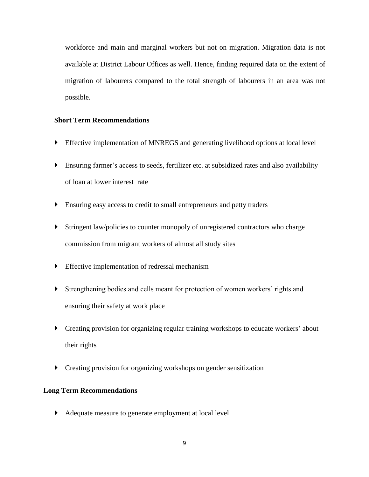workforce and main and marginal workers but not on migration. Migration data is not available at District Labour Offices as well. Hence, finding required data on the extent of migration of labourers compared to the total strength of labourers in an area was not possible.

## **Short Term Recommendations**

- Effective implementation of MNREGS and generating livelihood options at local level
- Ensuring farmer's access to seeds, fertilizer etc. at subsidized rates and also availability of loan at lower interest rate
- Ensuring easy access to credit to small entrepreneurs and petty traders
- Stringent law/policies to counter monopoly of unregistered contractors who charge commission from migrant workers of almost all study sites
- Effective implementation of redressal mechanism
- Strengthening bodies and cells meant for protection of women workers' rights and ensuring their safety at work place
- Creating provision for organizing regular training workshops to educate workers' about their rights
- **Creating provision for organizing workshops on gender sensitization**

### **Long Term Recommendations**

Adequate measure to generate employment at local level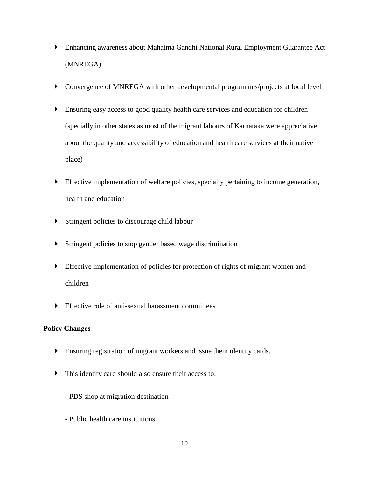- Enhancing awareness about Mahatma Gandhi National Rural Employment Guarantee Act (MNREGA)
- Convergence of MNREGA with other developmental programmes/projects at local level
- Ensuring easy access to good quality health care services and education for children (specially in other states as most of the migrant labours of Karnataka were appreciative about the quality and accessibility of education and health care services at their native place)
- Effective implementation of welfare policies, specially pertaining to income generation, health and education
- Stringent policies to discourage child labour
- Stringent policies to stop gender based wage discrimination
- Effective implementation of policies for protection of rights of migrant women and children
- Effective role of anti-sexual harassment committees

# **Policy Changes**

- Ensuring registration of migrant workers and issue them identity cards.
- This identity card should also ensure their access to:
	- PDS shop at migration destination
	- Public health care institutions